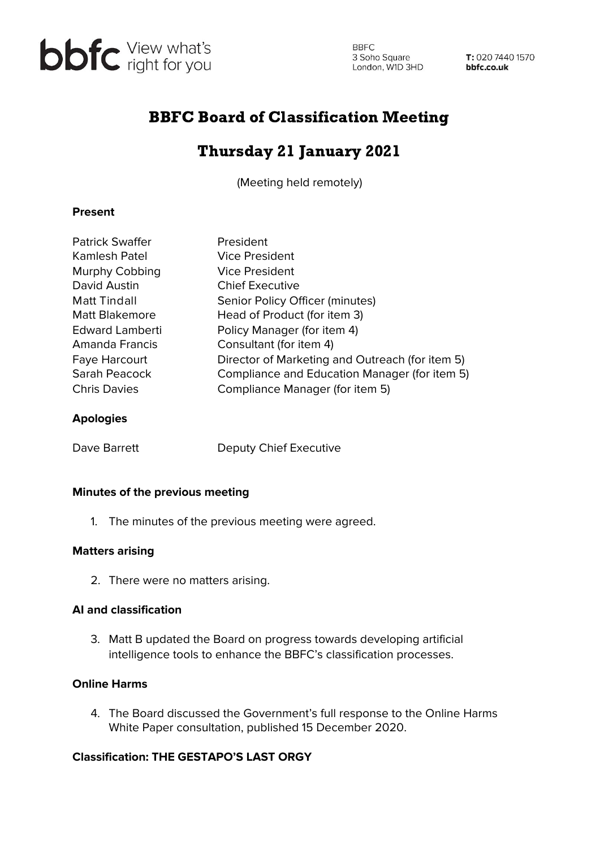

**BBFC** 3 Soho Square<br>
London, W1D 3HD **bbfc.co.uk** 

T: 020 7440 1570

# BBFC Board of Classification Meeting

# Thursday 21 January 2021

(Meeting held remotely)

## **Present**

| <b>Patrick Swaffer</b> | President                                       |
|------------------------|-------------------------------------------------|
| Kamlesh Patel          | Vice President                                  |
| Murphy Cobbing         | Vice President                                  |
| David Austin           | <b>Chief Executive</b>                          |
| <b>Matt Tindall</b>    | Senior Policy Officer (minutes)                 |
| <b>Matt Blakemore</b>  | Head of Product (for item 3)                    |
| <b>Edward Lamberti</b> | Policy Manager (for item 4)                     |
| Amanda Francis         | Consultant (for item 4)                         |
| <b>Faye Harcourt</b>   | Director of Marketing and Outreach (for item 5) |
| Sarah Peacock          | Compliance and Education Manager (for item 5)   |
| <b>Chris Davies</b>    | Compliance Manager (for item 5)                 |
| <b>Apologies</b>       |                                                 |

Dave Barrett Deputy Chief Executive

### **Minutes of the previous meeting**

1. The minutes of the previous meeting were agreed.

### **Matters arising**

2. There were no matters arising.

### **AI and classification**

3. Matt B updated the Board on progress towards developing artificial intelligence tools to enhance the BBFC's classification processes.

# **Online Harms**

4. The Board discussed the Government's full response to the Online Harms White Paper consultation, published 15 December 2020.

# **Classification: THE GESTAPO'S LAST ORGY**